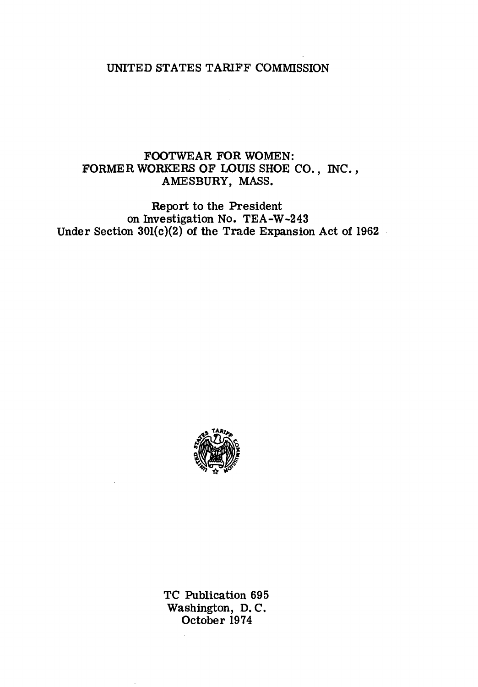# UNITED STATES TARIFF COMMISSION

# FOOTWEAR· FOR WOMEN: FORMER WORKERS OF LOUIS SHOE CO., INC., AMESBURY, MASS.

Report to the President on Investigation No. TEA-W-243 Under Section 301(c)(2) of the Trade Expansion Act of 1962



 $\sim$ 

TC Publication 695 Washington, D. C. October 1974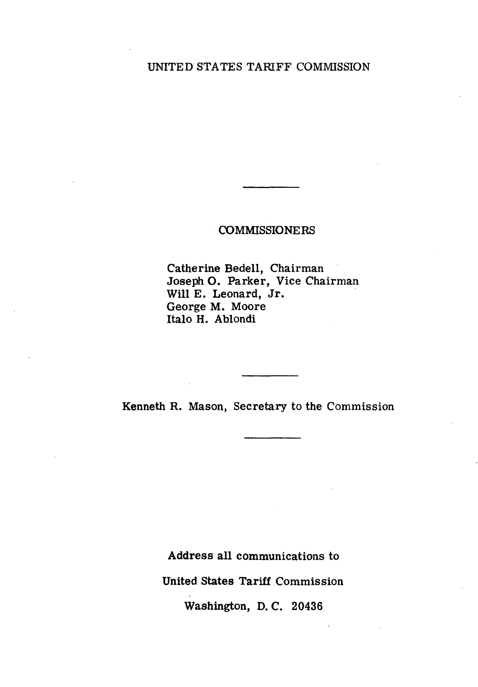### UNITED STATES TARIFF COMMISSION

### COMMISSIONERS

Catherine Bedell, Chairman Joseph 0. Parker, Vice Chairman Will E. Leonard, Jr. George M. Moore Italo H. Ablondi

Kenneth R. Mason, Secretary to the Commission

Address all communications to

United States Tariff Commission

Washington, D. C. 20436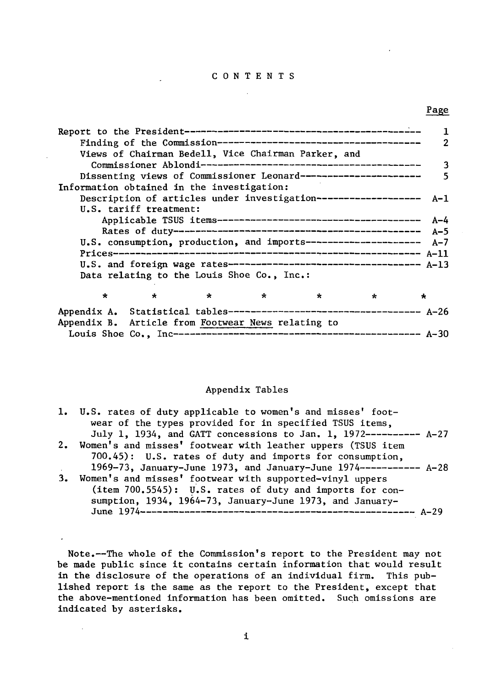#### CONTENTS

 $\mathcal{A}$ 

 $\overline{a}$ 

 $\ddot{\phantom{a}}$ 

ä,

| Views of Chairman Bedell, Vice Chairman Parker, and                                                                                        | 2 |
|--------------------------------------------------------------------------------------------------------------------------------------------|---|
|                                                                                                                                            | 3 |
| Dissenting views of Commissioner Leonard-----------------------                                                                            | 5 |
| Information obtained in the investigation:<br>Description of articles under investigation------------------- A-1<br>U.S. tariff treatment: |   |
|                                                                                                                                            |   |
|                                                                                                                                            |   |
| U.S. consumption, production, and imports--------------------- A-7                                                                         |   |
|                                                                                                                                            |   |
|                                                                                                                                            |   |
| Data relating to the Louis Shoe Co., Inc.:                                                                                                 |   |
| $\star$<br>$\star$<br>$\star$<br>$\star$<br>$\star$<br>$\star$<br>$\star$                                                                  |   |
| Appendix B. Article from Footwear News relating to                                                                                         |   |
|                                                                                                                                            |   |

#### Appendix Tables

| 1. U.S. rates of duty applicable to women's and misses' foot-     |
|-------------------------------------------------------------------|
| wear of the types provided for in specified TSUS items,           |
| July 1, 1934, and GATT concessions to Jan, 1, 1972---------- A-27 |
| 2. Women's and misses' footwear with leather uppers (TSUS item    |
| 700.45): U.S. rates of duty and imports for consumption,          |
| 1969-73, January-June 1973, and January-June 1974----------- A-28 |
| 3. Women's and misses' footwear with supported-vinyl uppers       |
| (item 700.5545): U.S. rates of duty and imports for con-          |
| sumption, 1934, 1964-73, January-June 1973, and January-          |
| - A-29                                                            |

Note.--The whole of the Commission's report to the President may not be made public since it contains certain information that would result in the disclosure of the operations of an individual firm. This published report is the same as the report to the President, except that the above-mentioned information has been omitted. Such omissions are indicated by asterisks.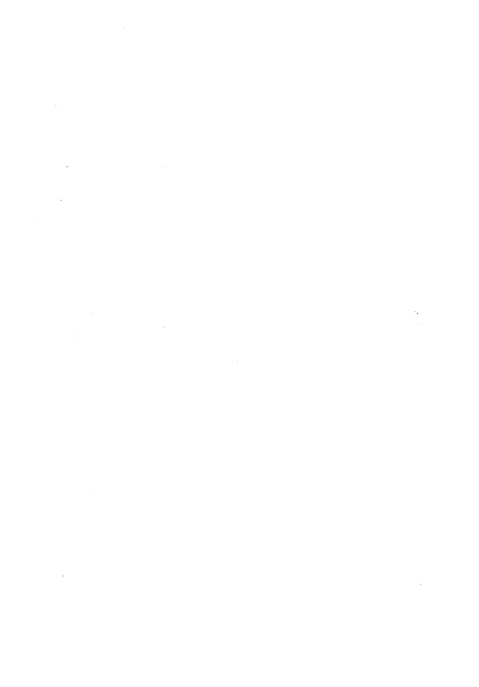$\label{eq:2.1} \frac{1}{\sqrt{2}}\int_{0}^{\infty}\frac{1}{\sqrt{2\pi}}\left(\frac{1}{\sqrt{2\pi}}\right)^{2\alpha} \frac{1}{\sqrt{2\pi}}\int_{0}^{\infty}\frac{1}{\sqrt{2\pi}}\left(\frac{1}{\sqrt{2\pi}}\right)^{2\alpha} \frac{1}{\sqrt{2\pi}}\frac{1}{\sqrt{2\pi}}\int_{0}^{\infty}\frac{1}{\sqrt{2\pi}}\frac{1}{\sqrt{2\pi}}\frac{1}{\sqrt{2\pi}}\frac{1}{\sqrt{2\pi}}\frac{1}{\sqrt{2\pi}}\frac{1}{\sqrt{2\$ 

 $\label{eq:2.1} \frac{1}{\sqrt{2}}\left(\frac{1}{\sqrt{2}}\right)^{2} \left(\frac{1}{\sqrt{2}}\right)^{2} \left(\frac{1}{\sqrt{2}}\right)^{2} \left(\frac{1}{\sqrt{2}}\right)^{2} \left(\frac{1}{\sqrt{2}}\right)^{2} \left(\frac{1}{\sqrt{2}}\right)^{2} \left(\frac{1}{\sqrt{2}}\right)^{2} \left(\frac{1}{\sqrt{2}}\right)^{2} \left(\frac{1}{\sqrt{2}}\right)^{2} \left(\frac{1}{\sqrt{2}}\right)^{2} \left(\frac{1}{\sqrt{2}}\right)^{2} \left(\$ 

 $\label{eq:2.1} \mathcal{L}(\mathcal{L}^{\text{max}}_{\mathcal{L}}(\mathcal{L}^{\text{max}}_{\mathcal{L}})) \leq \mathcal{L}(\mathcal{L}^{\text{max}}_{\mathcal{L}}(\mathcal{L}^{\text{max}}_{\mathcal{L}})) \leq \mathcal{L}(\mathcal{L}^{\text{max}}_{\mathcal{L}}(\mathcal{L}^{\text{max}}_{\mathcal{L}}))$  $\mathcal{L}(\mathcal{L}^{\text{max}}_{\mathcal{L}}(\mathcal{L}^{\text{max}}_{\mathcal{L}}))$ 

 $\label{eq:2} \frac{1}{\sqrt{2}}\left(\frac{1}{\sqrt{2}}\right)^{2} \left(\frac{1}{\sqrt{2}}\right)^{2} \left(\frac{1}{\sqrt{2}}\right)^{2} \left(\frac{1}{\sqrt{2}}\right)^{2} \left(\frac{1}{\sqrt{2}}\right)^{2} \left(\frac{1}{\sqrt{2}}\right)^{2} \left(\frac{1}{\sqrt{2}}\right)^{2} \left(\frac{1}{\sqrt{2}}\right)^{2} \left(\frac{1}{\sqrt{2}}\right)^{2} \left(\frac{1}{\sqrt{2}}\right)^{2} \left(\frac{1}{\sqrt{2}}\right)^{2} \left(\frac{$  $\mathcal{L}^{\text{max}}_{\text{max}}$  , where  $\mathcal{L}^{\text{max}}_{\text{max}}$ 

 $\label{eq:2} \begin{split} \mathcal{L}_{\text{max}}(\mathcal{A}) = \mathcal{L}_{\text{max}}(\mathcal{A}) \,, \end{split}$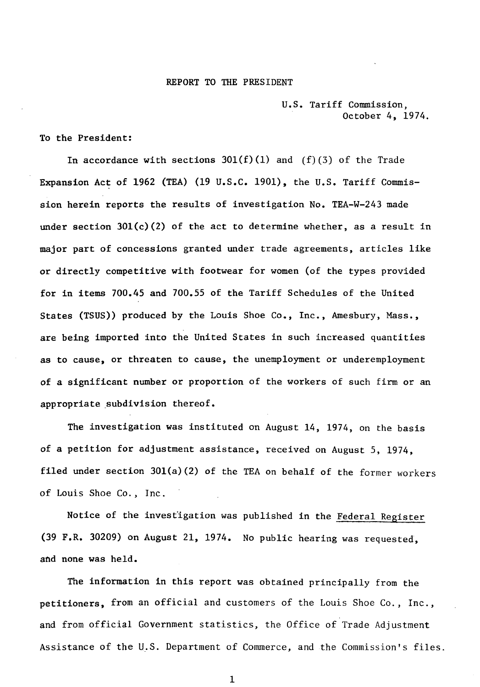#### REPORT TO THE PRESIDENT

U.S. Tariff Commission, October 4, 1974.

#### To the President:

In accordance with sections  $301(f)(1)$  and  $(f)(3)$  of the Trade Expansion Act of 1962 (TEA) (19 U.S.C. 1901), the U.S. Tariff Commission herein reports the results of investigation No. TEA-W-243 made under section  $301(c)(2)$  of the act to determine whether, as a result in major part of concessions granted under trade agreements, articles like or directly competitive with footwear for women (of the types provided for in items 700.45 and 700.55 of the Tariff Schedules of the United States (TSUS)) produced by the Louis Shoe Co., Inc., Amesbury, Mass., are being imported into the United States in such increased quantities as to cause, or threaten to cause, the unemployment or underemployment of a significant number or proportion of the workers of such firm or an appropriate subdivision thereof.

The investigation was instituted on August 14, 1974, on the basis of a petition for adjustment assistance, received on August 5, 1974, filed under section  $301(a)(2)$  of the TEA on behalf of the former workers of Louis Shoe Co., Inc.

Notice of the investigation was published in the Federal Register (39 F.R. 30209) on August 21, 1974. No public hearing was requested, and none was held.

The information in this report was obtained principally from the petitioners, from an official and customers of the Louis Shoe Co., Inc., and from official Government statistics, the Office of Trade Adjustment Assistance of the U.S. Department of Commerce, and the Commission's files.

1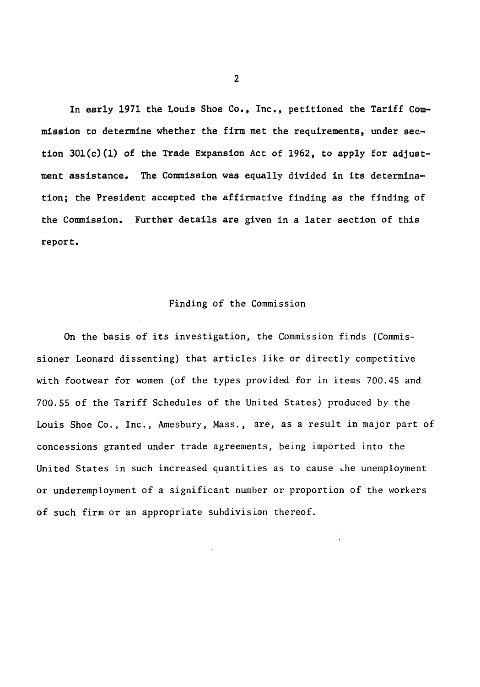In early 1971 the Louis Shoe Co., Inc., petitioned the Tariff Commission to determine whether the firm met the requirements, under section  $301(c)(1)$  of the Trade Expansion Act of 1962, to apply for adjustment assistance. The Commission was equally divided in its determination; the President accepted the affirmative finding as the finding of the Commission. Further details are given in a later section of this report.

#### Finding of the Commission

On the basis of its investigation, the Commission finds (Commissioner Leonard dissenting) that articles like or directly competitive with footwear for women (of the types provided for in items 700.45 and 700.55 of the Tariff Schedules of the United States) produced by the Louis Shoe Co., Inc., Amesbury, Mass., are, as a result in major part of concessions granted under trade agreements, being imported into the United States in such increased quantities as to cause the unemployment or underemployment of a significant number or proportion of the workers of such firm or an appropriate subdivision thereof.

2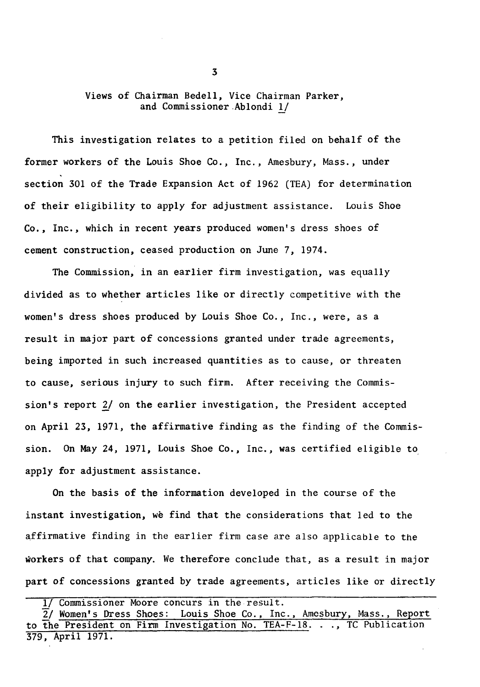#### Views of Chairman Bedell, Vice Chairman Parker, and Commissioner Ablondi 1/

This investigation relates to a petition filed on behalf of the former workers of the Louis Shoe Co., Inc., Amesbury, Mass., under section 301 of the Trade Expansion Act of 1962 (TEA) for determination of their eligibility to apply for adjustment assistance. Louis Shoe Co., Inc., which in recent years produced women's dress shoes of cement construction, ceased production on June 7, 1974.

The Commission, in an earlier firm investigation, was equally divided as to whether articles like or directly competitive with the women's dress shoes produced by Louis Shoe Co., Inc., were, as a result in major part of concessions granted under trade agreements, being imported in such increased quantities as to cause, or threaten to cause, serious injury to such firm. After receiving the Commission's report 2/ on the earlier investigation, the President accepted on April 23, 1971, the affirmative finding as the finding of the Commission. On May 24, 1971, Louis Shoe Co., Inc., was certified eligible to. apply for adjustment assistance.

On the basis of the information developed in the course of the instant investigation, we find that the considerations that led to the affirmative finding in the earlier firm case are also applicable to the workers of that company. We therefore conclude that, as a result in major part of concessions granted by trade agreements, articles like or directly

1/ Commissioner Moore concurs in the result.

2/ Women's Dress Shoes: Louis Shoe Co., Inc., Amesbury, Mass., Report to the President on Firm Investigation No. TEA-F-18 .. *. ,* TC Publication 379, April 1971.

3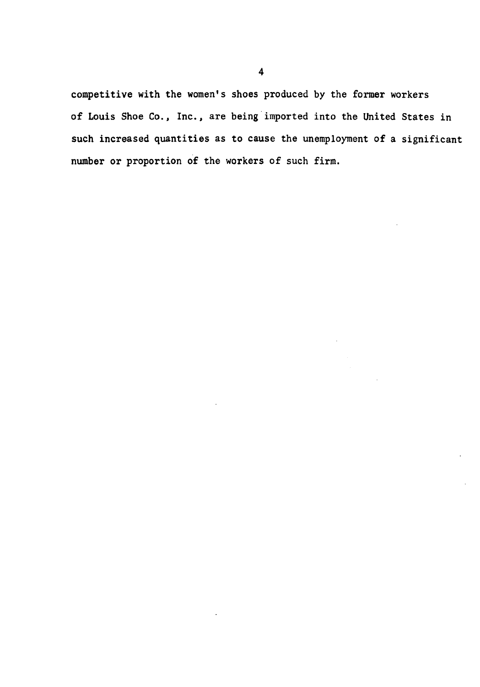competitive with the women's shoes produced by the former workers of Louis Shoe Co., Inc., are being imported into the United States in such increased quantities as to cause the unemployment of a significant number or proportion of the workers of such firm.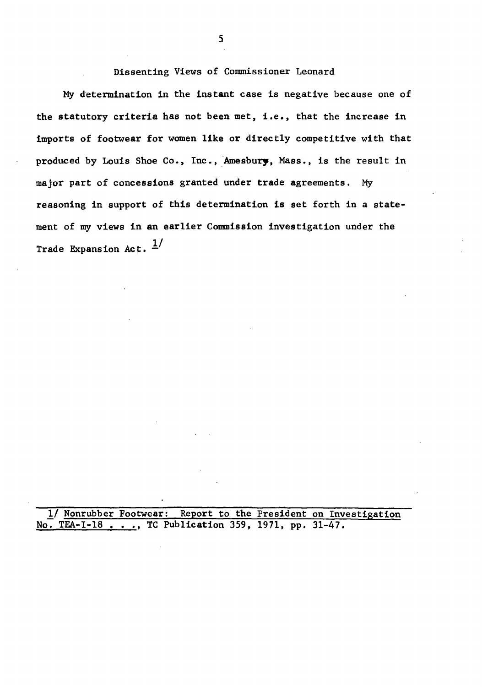Dissenting Views of Commissioner Leonard

My determination in the instant case is negative because one of the statutory criteria has not been met, i.e., that the increase in imports of footwear for women like or directly competitive with that produced by Louis Shoe Co., Inc., Amesbury, Mass., is the result in major part of concessions granted under trade agreements. My reasoning in support of this determination is set forth in a statement of my views in an earlier Commission investigation under the Trade Expansion Act.  $\frac{1}{1}$ 

11 Nonrubber Footwear: Report to the President on Investigation No. TEA-I-18 . . ., TC Publication 359, 1971, pp. 31-47.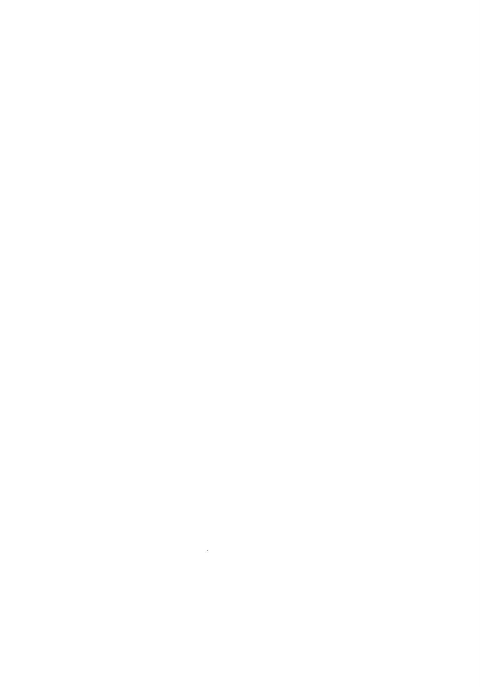$\label{eq:2.1} \frac{1}{\sqrt{2}}\left(\frac{1}{\sqrt{2}}\right)^{2} \left(\frac{1}{\sqrt{2}}\right)^{2} \left(\frac{1}{\sqrt{2}}\right)^{2} \left(\frac{1}{\sqrt{2}}\right)^{2} \left(\frac{1}{\sqrt{2}}\right)^{2} \left(\frac{1}{\sqrt{2}}\right)^{2} \left(\frac{1}{\sqrt{2}}\right)^{2} \left(\frac{1}{\sqrt{2}}\right)^{2} \left(\frac{1}{\sqrt{2}}\right)^{2} \left(\frac{1}{\sqrt{2}}\right)^{2} \left(\frac{1}{\sqrt{2}}\right)^{2} \left(\$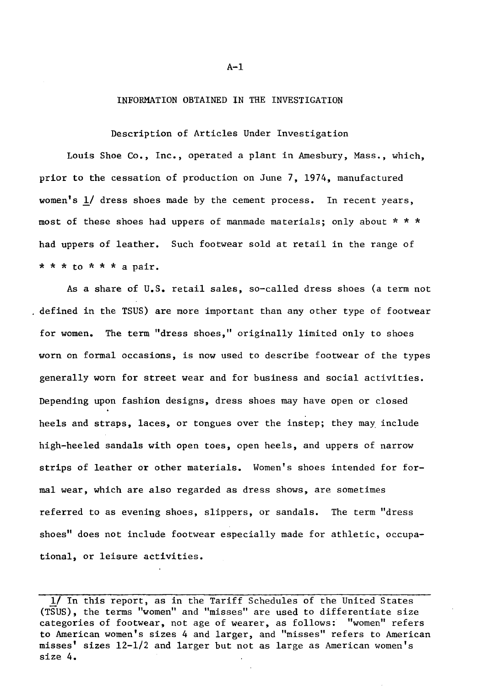#### INFORMATION OBTAINED IN THE INVESTIGATION

Description of Articles Under Investigation

Louis Shoe Co., Inc., operated a plant in Amesbury, Mass., which, prior to the cessation of production on June 7, 1974, manufactured women's  $1/$  dress shoes made by the cement process. In recent years, most of these shoes had uppers of manmade materials; only about \* \* \* had uppers of leather. Such footwear sold at retail in the range of \* \* \* to \* \* \* a pair.

As a share of U.S. retail sales, so-called dress shoes (a term not defined in the TSUS) are more important than any other type of footwear for women. The term "dress shoes," originally limited only to shoes worn on formal occasions, is now used to describe footwear of the types generally worn for street wear and for business and social activities. Depending upon fashion designs, dress shoes may have open or closed heels and straps, laces, or tongues over the instep; they may include high-heeled sandals with open toes, open heels, and uppers of narrow strips of leather or other materials. Women's shoes intended for formal wear, which are also regarded as dress shows, are sometimes referred to as evening shoes, slippers, or sandals. The term "dress shoes" does not include footwear especially made for athletic, occupational, or leisure activities.

 $A-1$ 

<sup>1/</sup> In this report, as in the Tariff Schedules of the United States (TSUS), the terms "women" and "misses" are used to differentiate size categories of footwear, not age of wearer, as follows: "women" refers to American women's sizes 4 and larger, and "misses" refers to American misses' sizes 12-1/2 and larger but not as large as American women's size 4.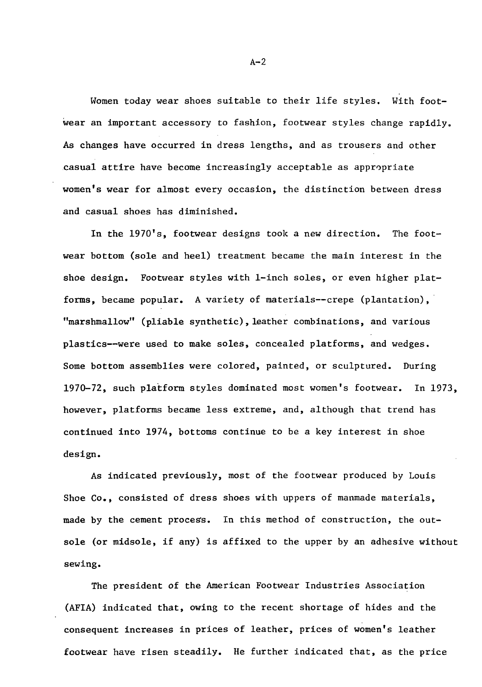Women today wear shoes suitable to their life styles. With footwear an important accessory to fashion, footwear styles change rapidly. As changes have occurred in dress lengths, and as trousers and other casual attire have become increasingly acceptable as appropriate women's wear for almost every occasion, the distinction between dress and casual shoes has diminished.

In the 1970's, footwear designs took a new direction. The footwear bottom (sole and heel) treatment became the main interest in the shoe design. Footwear styles with 1-inch soles, or even higher platforms, became popular. A variety of materials--crepe (plantation), "marshmallow" (pliable synthetic), leather combinations, and various plastics--were used to make soles, concealed platforms, and wedges. Some bottom assemblies were colored, painted, or sculptured. During 1970-72, such platform styles dominated most women's footwear. In 1973, however, platforms became less extreme, and, although that trend has continued into 1974, bottoms continue to be a key interest in shoe design.

As indicated previously, most of the footwear produced by Louis Shoe Co., consisted of dress shoes with uppers of manmade materials, made by the cement process. In this method of construction, the outsole (or midsole, if any) is affixed to the upper by an adhesive without sewing.

The president of the American Footwear Industries Association (AFIA) indicated that, owing to the recent shortage of hides and the consequent increases in prices of leather, prices of women's leather footwear have risen steadily. He further indicated that, as the price

 $A-2$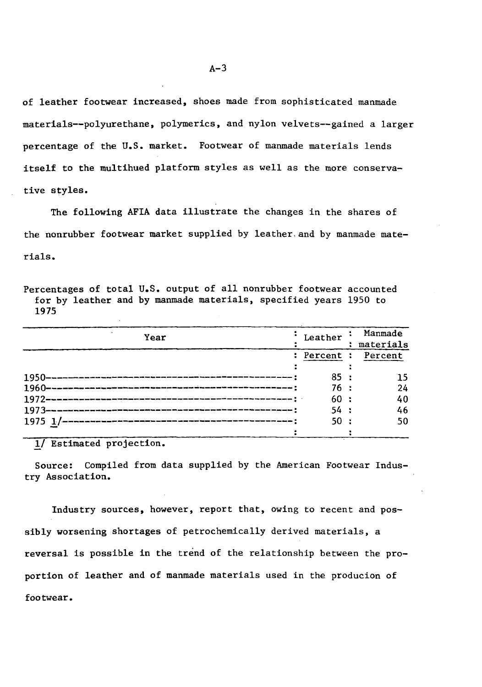of leather footwear increased, shoes made from sophisticated manmade materials--polyurethane, polymerics, and nylon velvets--gained a larger percentage of the U.S. market. Footwear of manmade materials lends itself to the multihued platform styles as well as the more conservative styles.

The following AFIA data illustrate the changes in the shares of the nonrubber footwear market supplied by leather, and by manmade materials.

Percentages of total U.S. output of all nonrubber footwear accounted for by leather and by manmade materials, specified years 1950 to 1975

| Year                           | Leather     | Manmade<br>materials |
|--------------------------------|-------------|----------------------|
|                                | : Percent : | Percent              |
|                                |             |                      |
| 1950-------------------------- | 85:         |                      |
|                                | 76 :        | 24                   |
|                                | 60:         | 40                   |
|                                | 54:         | 46                   |
|                                | 50.         | 50                   |
|                                |             |                      |

!/ Estimated projection.

Source: Compiled from data supplied by the American Footwear Industry Association.

Industry sources, however, report that, owing to recent and possibly worsening shortages of petrochemically derived materials, a reversal is possible in the trend of the relationship between the proportion of leather and of manmade materials used in the producion of footwear.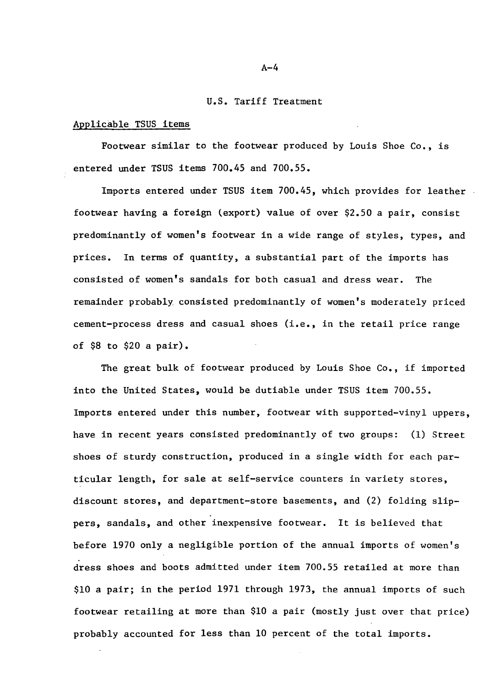#### U.S. Tariff Treatment

#### Applicable TSUS items

Footwear similar to the footwear produced by Louis Shoe Co., is entered under TSUS items 700.45 and 700.55.

Imports entered under TSUS item 700.45, which provides for leather footwear having a foreign (export) value of over \$2.50 a pair, consist predominantly of women's footwear in a wide range of styles, types, and prices. In terms of quantity, a substantial part of the imports has consisted of women's sandals for both casual and dress wear. The remainder probably consisted predominantly of women's moderately priced cement-process dress and casual shoes (i.e., in the retail price range of \$8 to \$20 a pair).

The great bulk of footwear produced by Louis Shoe Co., if imported into the United States, would be dutiable under TSUS item 700.55. Imports entered under this number, footwear with supported-vinyl uppers, have in recent years consisted predominantly of two groups: (1) Street shoes of sturdy construction, produced in a single width for each particular length, for sale at self-service counters in variety stores, discount stores, and department-store basements, and (2) folding slippers, sandals, and other inexpensive footwear. It is believed that before 1970 only a negligible portion of the annual imports of women's dress shoes and boots admitted under item 700.55 retailed at more than \$10 a pair; in the period 1971 through 1973, the annual imports of such footwear retailing at more than \$10 a pair (mostly just over that price) probably accounted for less than 10 percent of the total imports.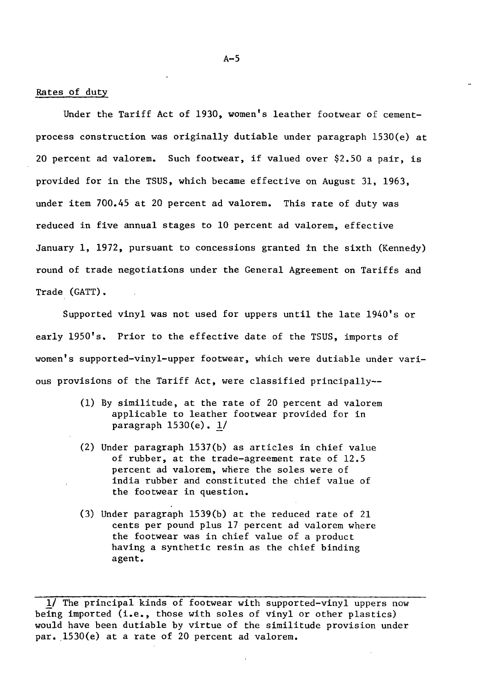Rates of duty

Under the Tariff Act of 1930, women's leather footwear of cementprocess construction was originally dutiable under paragraph 1530(e) at 20 percent ad valorem. Such footwear, if valued over \$2.50 a pair, is provided for in the TSUS, which became effective on August 31, 1963, under item 700.45 at 20 percent ad valorem. This rate of duty was reduced in five annual stages to 10 percent ad valorem, effective January 1, 1972, pursuant to concessions granted in the sixth (Kennedy) round of trade negotiations under the General Agreement on Tariffs and Trade (GATT).

Supported vinyl was not used for uppers until the late 1940's or early 1950's. Prior to the effective date of the TSUS, imports of women's supported-vinyl-upper footwear, which were dutiable under various provisions of the Tariff Act, were classified principally--

- (1) By similitude, at the rate of 20 percent ad valorem applicable to leather footwear provided for in paragraph 1530(e). *]:\_/*
- (2) Under paragraph 1537(b) as articles in chief value of rubber, at the trade-agreement rate of 12.5 percent ad valorem, where the soles were of india rubber and constituted the chief value of the footwear in question.
- (3) Under paragraph 1539(b) at the reduced rate of 21 cents per pound plus 17 percent ad valorem where the footwear was in chief value of a product having a synthetic resin as the chief binding agent.

1/ The principal kinds of footwear with supported-vinyl uppers now being imported (i.e., those with soles of vinyl or other plastics) would have been dutiable by virtue of the similitude provision under par. 1530(e) at a rate of 20 percent ad valorem.

 $A-5$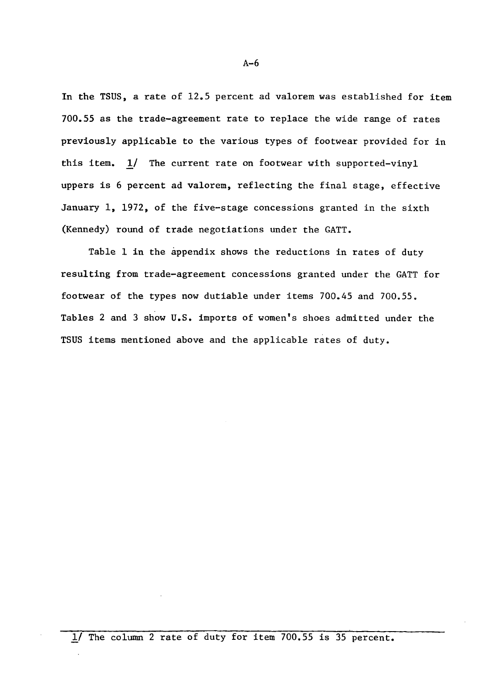In the TSUS, a rate of 12.5 percent ad valorem was established for item 700.55 as the trade-agreement rate to replace the wide range of rates previously applicable to the various types of footwear provided for in this item. 1/ The current rate on footwear with supported-vinyl uppers is 6 percent ad valorem, reflecting the final stage, effective January 1, 1972, of the five-stage concessions granted in the sixth (Kennedy) round of trade negotiations under the GATT.

Table 1 in the appendix shows the reductions in rates of duty resulting from trade-agreement concessions granted under the GATT for footwear of the types now dutiable under items 700.45 and 700.55. Tables 2 and 3 show U.S. imports of women's shoes admitted under the TSUS items mentioned above and the applicable rates of duty.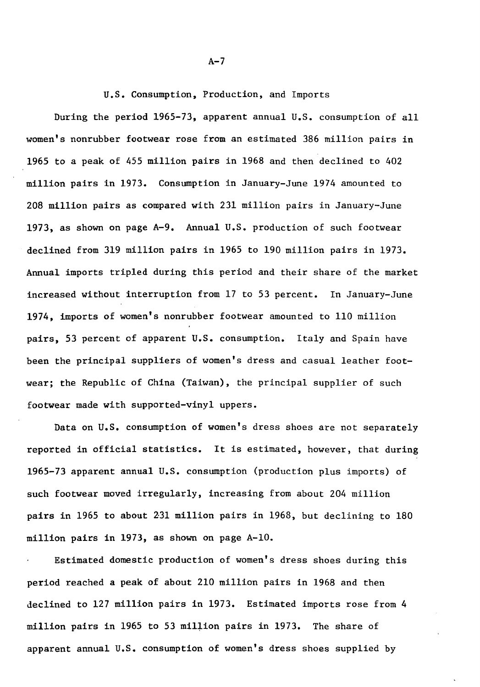U.S. Consumption, Production, and Imports

During the period 1965-73, apparent annual U.S. consumption of all women's nonrubber footwear rose from an estimated 386 million pairs in 1965 to a peak of 455 million pairs in 1968 and then declined to 402 million pairs in 1973. Consumption in January-June 1974 amounted to 208 million pairs as compared with 231 million pairs in January-June 1973, as shown on page A-9. Annual U.S. production of such footwear declined from 319 million pairs in 1965 to 190 million pairs in 1973. Annual imports tripled during this period and their share of the market increased without interruption from 17 to 53 percent. In January-June 1974, imports of women's nonrubber footwear amounted to 110 million pairs, 53 percent of apparent U.S. consumption. Italy and Spain have been the principal suppliers of women's dress and casual leather footwear; the Republic of China (Taiwan), the principal supplier of such footwear made with supported-vinyl uppers.

Data on U.S. consumption of women's dress shoes are not separately reported in official statistics. It is estimated, however, that during 1965-73 apparent annual U.S. consumption (production plus imports) of such footwear moved irregularly, increasing from about 204 million pairs in 1965 to about 231 million pairs in 1968, but declining to 180 million pairs in 1973, as shown on page A-10.

Estimated domestic production of women's dress shoes during this period reached a peak of about 210 million pairs in 1968 and then declined to 127 million pairs in 1973. Estimated imports rose from 4 million pairs in 1965 to 53 million pairs in 1973. The share of apparent annual U.S. consumption of women's dress shoes supplied by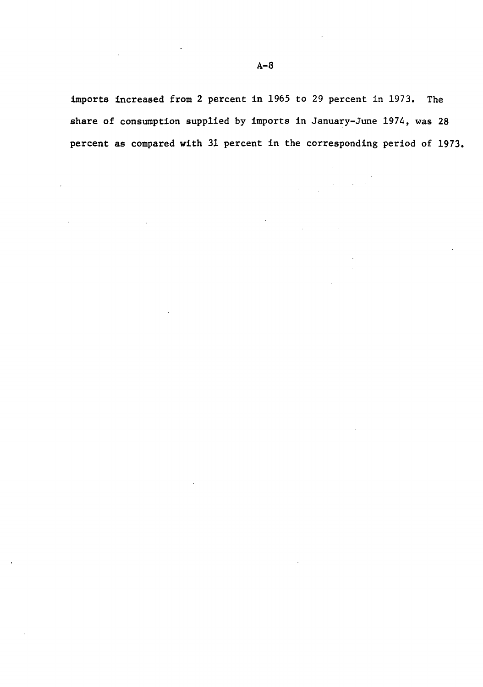imports increased from 2 percent in 1965 to 29 percent in 1973. The share of consumption supplied by imports in January-June 1974, was 28 percent as compared with 31 percent in the corresponding period of 1973.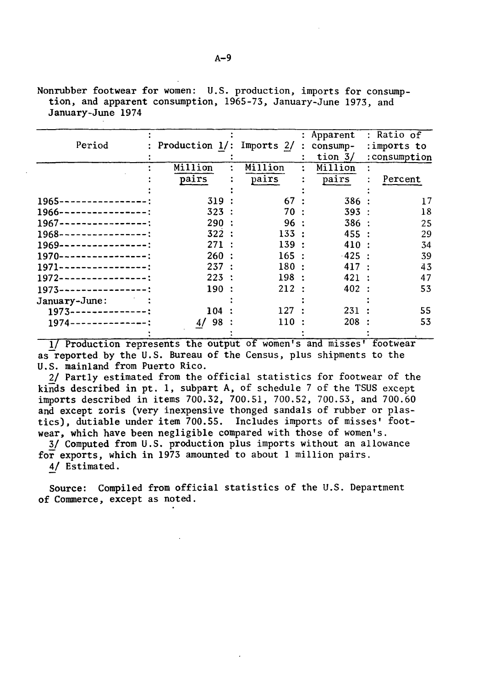Nonrubber footwear for women: U.S. production, imports for consumption, and apparent consumption, 1965-73, January-June 1973, and January-June 1974

|                                  |                             |         | Apparent     | : Ratio of    |
|----------------------------------|-----------------------------|---------|--------------|---------------|
| Period                           | : Production 1/: Imports 2/ |         | consump-     | :imports to   |
|                                  |                             |         | tion $3/$    | : consumption |
|                                  | Million<br>$\ddot{\cdot}$   | Million | Million<br>٠ |               |
|                                  | pairs                       | pairs   | pairs        | Percent       |
|                                  |                             |         |              |               |
| 1965-----------------            | 319:                        | 67:     | 386 :        | 17            |
| $1966$ ----------------          | 323:                        | 70:     | 393:         | 18            |
| 1967-----------------            | 290:                        | 96:     | 386 :        | 25            |
| $1968$ ----------------:         | 322:                        | 133 :   | 455:         | 29            |
| $1969$ ----------------:         | 271 :                       | 139:    | 410:         | 34            |
| $1970 - - - - - - - - - - - -$   | 260:                        | $165$ : | $-425$ :     | 39            |
| 1971-----------------:           | 237:                        | 180:    | 417:         | 43            |
| $1972 - - - - - - - - - - - - -$ | 223:                        | 198 :   | 421 :        | 47            |
| $1973 - - - - - - - - - - - - -$ | 190:                        | 212:    | 402 :        | 53            |
| January-June:                    |                             |         |              |               |
| $1973--$<br>------------         | 104:                        | 127     | 231          | 55            |
| $1974 - - - - - - - - - - - -$   | 98<br>4/                    | 110     | 208          | 53            |
|                                  |                             |         |              |               |

1/ Production represents the output of women's and misses' footwear as reported by the U.S. Bureau of the Census, plus shipments to the U.S. mainland from Puerto Rico.

2/ Partly estimated from the official statistics for footwear of the kinds described in pt. 1, subpart A, of schedule 7 of the TSUS except imports described in items 700.32, 700.51, 700.52, 700.53, and 700.60 and except zoris (very inexpensive thonged sandals of rubber or plastics), dutiable under item 700.55. Includes imports of misses' footwear, which have been negligible compared with those of women's.

3/ Computed from U.S. production plus imports without an allowance for exports, which in 1973 amounted to about 1 million pairs. 4/ Estimated.

Source: Compiled from official statistics of the U.S. Department of Commerce, except as noted.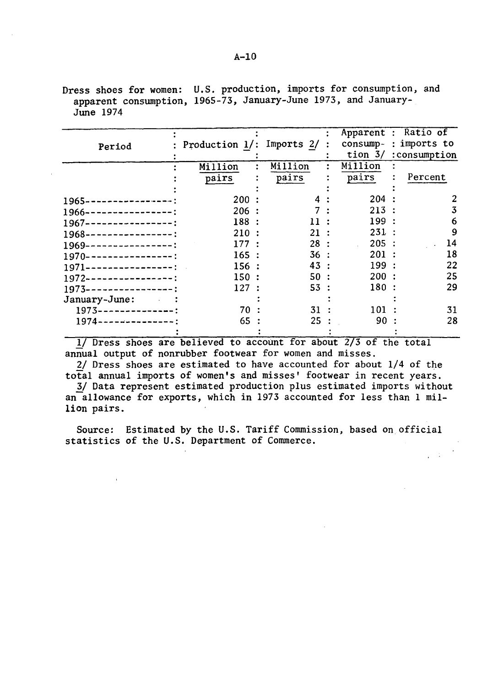|                                    |                   |                |          | Apparent : Ratio of     |
|------------------------------------|-------------------|----------------|----------|-------------------------|
| Period                             | Production $1/$ : | Imports $2/$ : | consump- | : imports to            |
|                                    |                   |                |          | tion $3/$ : consumption |
|                                    | Million           | Million        | Million  |                         |
|                                    | pairs             | pairs          | pairs    | Percent                 |
|                                    |                   |                |          |                         |
| 1965----------------               | 200:              | 4              | 204:     |                         |
| 1966----------------:              | 206:              |                | 213:     |                         |
| 1967----------------:              | 188 :             | 11             | 199      |                         |
| $1968$ ----------------:           | 210:              | 21             | 231:     | 9                       |
| $1969$ ----------------:           | 177:              | 28:            | 205:     | 14                      |
| $1970 - - - - - - - - - - - -$     | 165:              | 36 :           | 201      | 18                      |
| $1971 - - - - - - - - - - - -$     | 156:              | 43             | 199      | 22                      |
| $1972$ ----------------            | 150:              | 50:            | 200:     | 25                      |
| $1973 - - - - - - - - - - - - - -$ | 127:              | 53:            | 180:     | 29                      |
| January-June:                      |                   |                |          |                         |
| $1973 - - - - - - - - - - - -$     | 70:               | 31:            | 101      | 31                      |
| 1974---------------                | 65:               | $25 -$         | 90       | 28                      |
|                                    |                   |                |          |                         |

Dress shoes for women: U.S. production, imports for consumption, and apparent consumption, 1965-73, January-June 1973, and January-June 1974

1/ Dress shoes are believed to account for about 2/3 of the total annual output of nonrubber footwear for women and misses.

2/ Dress shoes are estimated to have accounted for about 1/4 of the total annual imports of women's and misses' footwear in recent years.

3/ Data represent estimated production plus estimated imports without an allowance for exports, which in 1973 accounted for less than 1 million pairs.

Source: Estimated by the U.S. Tariff Commission, based on official statistics of the U.S. Department of Commerce.

 $\mathbb{R}^{\mathbb{Z}^2}$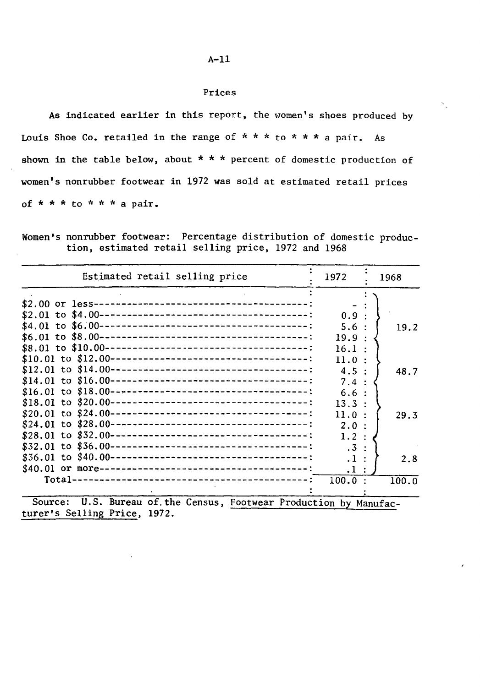#### Prices

As indicated earlier in this report, the women's shoes produced by Louis Shoe Co. retailed in the range of  $* * *$  to  $* * *$  a pair. As shown in the table below, about  $* * *$  percent of domestic production of women's nonrubber footwear in 1972 was sold at estimated retail prices of  $* * *$  to  $* * *$  a pair.

Women's nonrubber footwear: Percentage distribution of domestic production, estimated retail selling price, 1972 and 1968

| Estimated retail selling price                                        | 1972                                         | 1968         |
|-----------------------------------------------------------------------|----------------------------------------------|--------------|
|                                                                       | 0.9:<br>5.6:<br>19.9:                        | 19.2         |
|                                                                       | $16.1$ :<br>11.0:<br>4.5 :<br>7.4:           | 48.7         |
|                                                                       | 6.6:<br>13.3:<br>11.0:<br>2.0:               | 29.3         |
|                                                                       | 1.2 :<br>$.3$ :<br>.1:<br>$\cdot$ :<br>100.0 | 2.8<br>100.0 |
| U.S. Bureau of the Census, Footwear Production by Manufac-<br>Source: |                                              |              |

turer's Selling Price, 1972.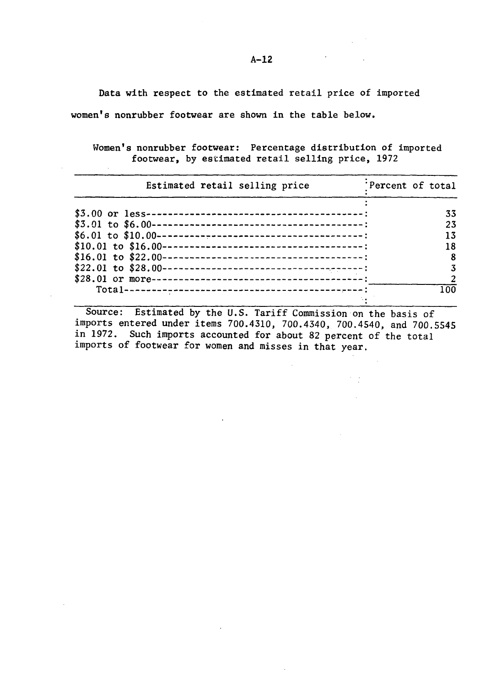Data with respect to the estimated retail price of imported women's nonrubber footwear are shown in the table below.

Women's nonrubber footwear: Percentage distribution of imported footwear, by estimated retail selling price, 1972

| Estimated retail selling price | 'Percent of total |
|--------------------------------|-------------------|
|                                |                   |
|                                | 33                |
|                                | 23                |
|                                | 13                |
|                                | 18                |
|                                | 8                 |
|                                |                   |
|                                |                   |
|                                | 100               |

Source: Estimated by the U.S. Tariff Commission on the basis of imports entered under items 700.4310, 700.4340, 700.4540, and 700.5545 in 1972. Such imports accounted for about 82 percent of the total imports of footwear for women and misses in that year.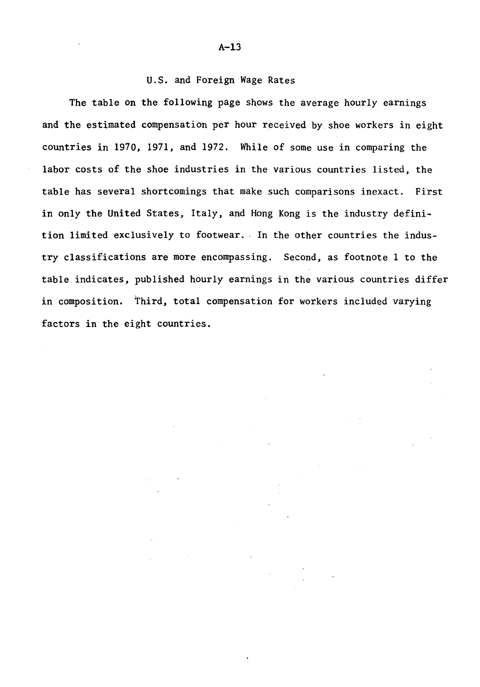#### U.S. and Foreign Wage Rates

The table on the following page shows the average hourly earnings and the estimated compensation per hour received by shoe workers in eight countries in 1970, 1971, and 1972. While of some use in comparing the labor costs of the shoe industries in the various countries listed, the table has several shortcomings that make such comparisons inexact. First in only the United States, Italy, and Hong Kong is the industry definition limited exclusively to footwear. In the other countries the industry classifications are more encompassing. Second, as footnote 1 to the table indicates, published hourly earnings in the various countries differ in composition. Third, total compensation for workers included varying factors in the eight countries.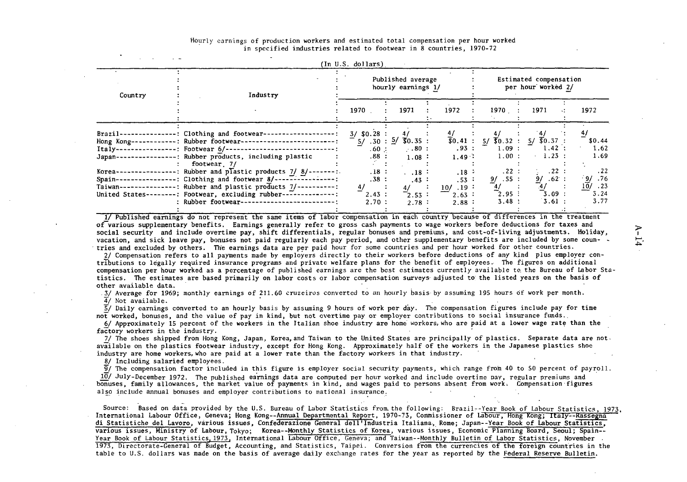Hourly earnings of production workers and estimated total compensation per hour worked in specified industries related to footwear in 8 countries, 1970-72

|            |                                                                     | $(In U.S.$ $dollars)$ |                                         |             |                                              |                |              |  |
|------------|---------------------------------------------------------------------|-----------------------|-----------------------------------------|-------------|----------------------------------------------|----------------|--------------|--|
| Country    | Industry                                                            |                       | Published average<br>hourly earnings 1/ |             | Estimated compensation<br>per hour worked 2/ |                |              |  |
|            |                                                                     | 1970                  | 1971                                    | 1972        | 1970                                         | 1971           | 1972         |  |
| $Brazil--$ | ------------: Clothing and footwear---------------                  | $3/$ \$0.28 :         | 4/                                      | 4/          |                                              | 4/             | 41           |  |
|            | Hong Kong------------: Rubber footwear--------------------------:   | 5/                    | $.30 : 5/$ \$0.35 :                     | \$0.41:     | $5/$ $\overline{50.32}$ :                    | $5/$ $50.37$ : | \$0.44       |  |
|            | Italy----------------: Footwear 6/------------------------------:   | .60 :                 | $\therefore$ 80 :                       | .93:        | 1.09:                                        | 1.42:          | 1.62         |  |
|            | Japan----------------: Rubber products, including plastic           | .88:                  | 1.08:                                   | 1.49:       | 1.00:                                        | 1.23:          | 1.69         |  |
|            | footwear 7/                                                         |                       |                                         |             |                                              |                |              |  |
|            | Korea----------------: Rubber and plastic products $7/8/$ -------:  | .18:                  | $. \t18$                                | $.18$ :     | .22:                                         | .22:           | .22          |  |
|            | Spain----------------: Clothing and footwear $8/$ ----------------: | .38:                  | .43:                                    | .53 :       | 9/ .55 :                                     | $9/ .62$ :     | $-9/75$      |  |
|            | Taiwan---------------: Rubber and plastic products 7/----------:    | 41                    | $\sim 100$<br>4/                        | .19:<br>10/ | 4/                                           | .4/            | 10/<br>$-23$ |  |
|            | United States---------: Footwear, excluding rubber--------------:   | 2,43:                 | $\overline{2.53}$ :                     | $2.63$ :    | 2.95:                                        | 3.09:          | 3.24         |  |
|            | : Rubber footwear--------------------------;                        | 2.70:                 | 2.78:                                   | 2.88:       | 3.48:                                        | 3.61:          | 3.77         |  |
|            |                                                                     |                       |                                         |             |                                              |                |              |  |

1/ Published earnings do not represent the same items of labor compensation in each country because of differences in the treatment of-various supplementary benefits. Earnings generally refer to gross cash payments to wage workers before deductions for taxes and social security and include overtime pay, shift differentials, regular bonuses and premiums, and cost-of-living adjustments. Holiday, vacation, and sick leave pay, bonuses not paid regularly each pay period, and other supplementary benefits are included by some coun- - · tries and excluded by others. Th'e earnings data are per paid hour for some countries and per hour worked for other countries.

tributions to legally required insurance programs and private welfare plans for the benefit of employees. The figures on additional compensation per hour worked as a percentage of published earnings are the best estimates currently available to the Bureau of Labor Statistics. The estimates are based primarily on labor costs or labor compensation surveys adjusted to the listed years on the basis of<br>other available data.

 $\frac{3}{4}$  Average for 1969; monthly earnings of 211.60 cruzeiros converted to an hourly basis by assuming 195 hours of work per month.

 $\overline{5}$ / Daily earnings converted to an hourly basis by assuming 9 hours of work per day. The compensation figures include pay for time not worked, bonuses, and the value of pay in kind, but not overtime pay or employer contributions to social insurance ftmds ..

6/ Approximately 15 percent of the workers in the Italian shoe industry are home workers, who are paid at a lower wage rate than the factory workers in the industry.

 $7/$  The shoes shipped from Hong Kong, Japan, Korea, and Taiwan to the United States are principally of plastics. Separate data are not. available on the plastics footwear industry, except for Hong Kong. Approximately half of the workers in the Japanese plastics shoe industry are home workers, who are paid at a lower rate than the factory workers in that industry.<br>8/ Including salaried employees.

 $\overline{9}$ / The compensation factor included in this figure is employer social security payments, which range from 40 to 50 percent of payroll.  $10$ / July-December 1972. The published earnings data are computed per hour worked and include overtime pay, regular premiums and<br>bonuses, family allowances, the market value of payments in kind, and wages paid to persons also include annual bonuses and employer contributions to national insurance.

Source: Based on data provided by the U.S. Bureau of Labor Statistics from. the following: Brazil--Year Book of Labour Statistics, 1973, International Labour Office, Geneva; Hong Kong--Annual Departmental Report, 1970-73, Commissioner of Labour, Hong Kong; Italy--Rassegna di Statistiche del Lavoro, various issues, Confederazione General dell'Industria Italiana, Rome; Japan--Year Book of Labour Statistics, various issues, Ministry of Labour, Tokyo; Korea--Monthly Statistics of Korea, various issues, Economic Planning Board, Seoul; Spain-- Year Book of Labour Statistics, 1973, International Labour Office, Geneva; and Taiwan--Monthly Bulletin of Labor Statistics, November. 1973, Directorate-General of Budget, Accounting, and Statistics, Taipei. Conversion from the currencies of the foreign countries in the table to U.S. dollars was made on the basis of average daily exchange rates for the year as reported by the Federal Reserve Bulletin.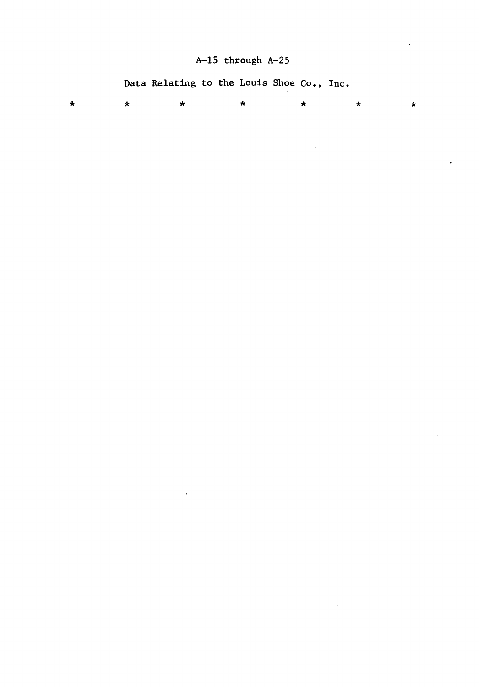# A-15 through A-25

Data Relating to the Louis Shoe Co., Inc.

 $\bar{.}$ 

|  | * * * * * * * * |  |  |
|--|-----------------|--|--|
|  |                 |  |  |

 $\ddot{\phantom{0}}$ 

 $\overline{\phantom{a}}$ 

 $\mathcal{L}$ 

 $\ddot{\phantom{a}}$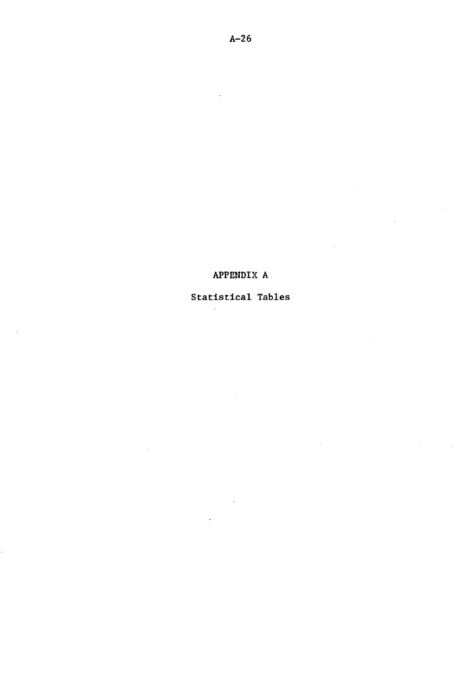# APPENDIX A

 $\bar{z}$ 

 $\bar{z}$ 

### Statistical Tables

 $\bar{\mathcal{A}}$ 

 $\ddot{\phantom{a}}$ 

 $\mathcal{L}$ 

 $\bar{z}$ 

l.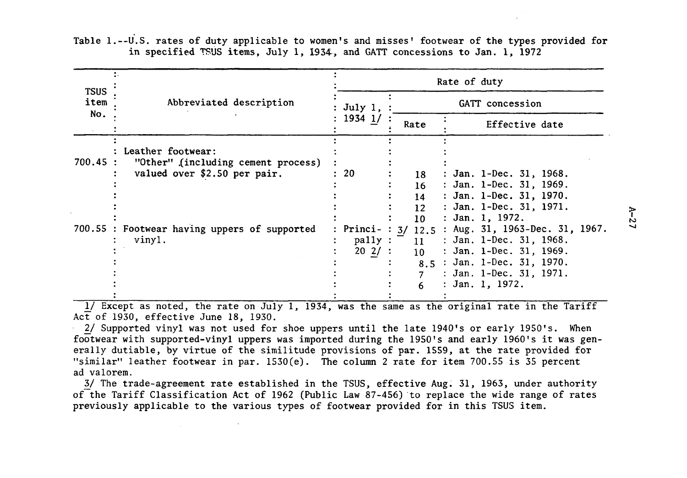|                                                                                                                                                                | Rate of duty |                                             |                                                                                                                                                                                                                                                                                                                        |  |  |  |
|----------------------------------------------------------------------------------------------------------------------------------------------------------------|--------------|---------------------------------------------|------------------------------------------------------------------------------------------------------------------------------------------------------------------------------------------------------------------------------------------------------------------------------------------------------------------------|--|--|--|
| Abbreviated description                                                                                                                                        |              | GATT concession                             |                                                                                                                                                                                                                                                                                                                        |  |  |  |
|                                                                                                                                                                | : 1934 1/    | Rate                                        | Effective date                                                                                                                                                                                                                                                                                                         |  |  |  |
| : Leather footwear:<br>700.45:<br>"Other" (including cement process)<br>valued over \$2.50 per pair.<br>700.55 : Footwear having uppers of supported<br>vinyl. | : 20         | 18<br>16 <sup>1</sup><br>14<br>12<br>$10-1$ | : Jan. 1-Dec. 31, 1968.<br>: Jan. 1-Dec. 31, 1969.<br>: Jan. 1-Dec. 31, 1970.<br>: Jan. 1-Dec. 31, 1971.<br>: Jan. 1, 1972.<br>: Princi- : 3/ 12.5 : Aug. 31, 1963-Dec. 31, 1967.<br>: Jan. 1-Dec. 31, 1968.<br>: Jan. 1-Dec. 31, 1969.<br>$8.5$ : Jan. 1-Dec. 31, 1970.<br>: Jan. 1-Dec. 31, 1971.<br>: Jan. 1, 1972. |  |  |  |
|                                                                                                                                                                |              | : July 1,                                   | $pally:$ $11$<br>$20\;\;2/:\;\;\;\;\;\;\;10$                                                                                                                                                                                                                                                                           |  |  |  |

Table 1.--U.S. rates of duty applicable to women's and misses' footwear of the types provided for in specified TSUS items, July 1, 1934, and GATT concessions to Jan. 1, 1972

1/ Except as noted, the rate on July 1, 1934, was the same as the original rate in the Tariff Act of 1930, effective June 18, 1930.

· 2/ Supported vinyl was not used for shoe uppers until the late 1940's or early 1950's. When footwear with supported-vinyl uppers was imported during the 1950's and early 1960's it was generally dutiable, by virtue of the similitude provisions of par. 1559, at the rate provided for "similar" leather footwear in par. 1530(e). The column 2 rate for item 700.55 is 35 percent ad valorem.

 $3/$  The trade-agreement rate established in the TSUS, effective Aug. 31, 1963, under authority of the Tariff Classification Act of 1962 (Public Law 87-456) to replace the wide range of rates previously applicable to the various types of footwear provided for in this TSUS item.

 $\sim 10^{-1}$ 

 $A - 27$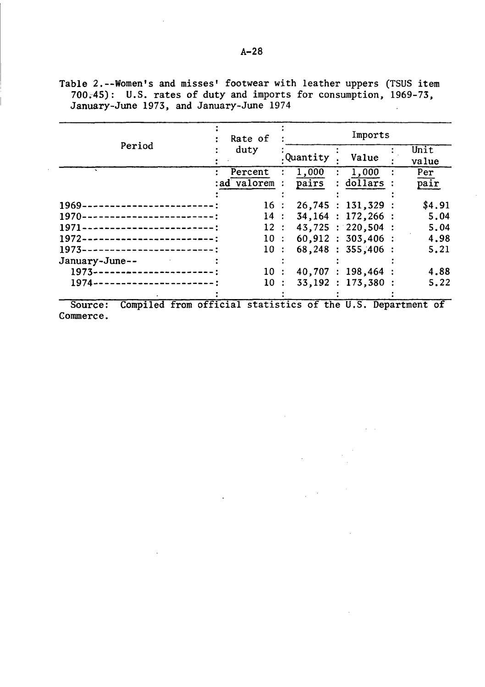|                                        | Rate of                                                                                                          | Imports                  |                          |                             |  |  |  |  |
|----------------------------------------|------------------------------------------------------------------------------------------------------------------|--------------------------|--------------------------|-----------------------------|--|--|--|--|
| Period                                 | duty                                                                                                             | .Quantity                | Value                    | Unit<br>value               |  |  |  |  |
|                                        | Percent                                                                                                          | 1,000                    | 1,000                    | Per<br>$\ddot{\phantom{a}}$ |  |  |  |  |
|                                        | : ad valorem :                                                                                                   | pairs                    | dollars:                 | pair                        |  |  |  |  |
|                                        |                                                                                                                  |                          |                          |                             |  |  |  |  |
| 1969-                                  | 16:                                                                                                              |                          | 26,745 : 131,329 :       | \$4.91                      |  |  |  |  |
| 1970-------------------------          | $14$ :                                                                                                           |                          | 34,164 : 172,266 :       | 5.04                        |  |  |  |  |
| $1971 - -$                             | 12:                                                                                                              |                          | 43,725 : 220,504 :       | 5.04                        |  |  |  |  |
| $1972 - -$                             | 10:                                                                                                              |                          | 60,912 : 303,406 :       | 4.98                        |  |  |  |  |
| 1973--------------------------         | 10:                                                                                                              |                          | 68,248 : 355,406 :       | 5.21                        |  |  |  |  |
| January-June--                         |                                                                                                                  |                          |                          |                             |  |  |  |  |
| 1973-----------------------            | 10                                                                                                               |                          | 40,707 : 198,464 :       | 4.88                        |  |  |  |  |
| $1974 -$                               | 10                                                                                                               |                          | 33,192 : 173,380 :       | 5.22                        |  |  |  |  |
| . .<br>$\overline{\phantom{a}}$<br>. . | <del>.</del><br>$\overline{\phantom{a} \phantom{a} \phantom{a} \phantom{a} \phantom{a} \phantom{a} \phantom{a}}$ | $\overline{\phantom{a}}$ | $\overline{\cdots}$<br>≂ |                             |  |  |  |  |

Table 2.--Women's and misses' footwear with leather uppers (TSUS item 700.45): U.S. rates of duty and imports for consumption, 1969-73, January-June 1973, and January-June 1974

Source: Compiled from official statistics of the U.S. Department of Commerce.

 $\omega_{\rm{max}}$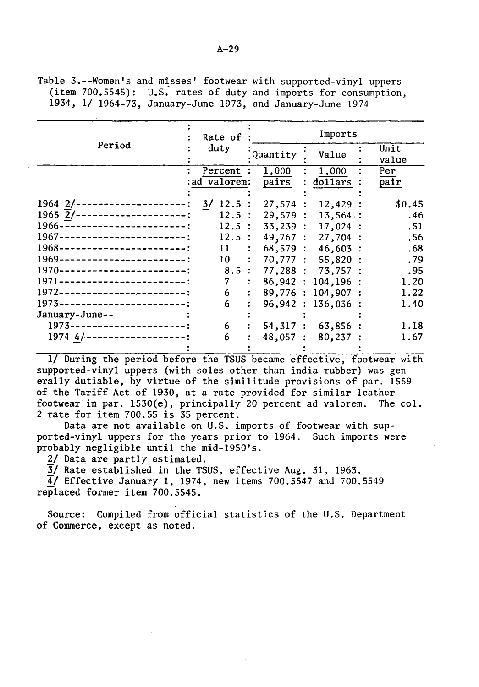Table 3.--Women's and misses' footwear with supported-vinyl uppers (item 700.5545): U.S. rates of duty and imports for consumption, 1934, !/ 1964-73, January-June 1973, and January-June 1974

|                                                                     | Rate of :    |                |            | Imports            |               |
|---------------------------------------------------------------------|--------------|----------------|------------|--------------------|---------------|
| Period                                                              | duty         |                | :Quantity  | Value              | Unit<br>value |
|                                                                     | Percent      |                | 1,000      | 1,000              | Per           |
|                                                                     | :ad valorem: |                | pairs      | dollars            | pair          |
|                                                                     |              |                |            |                    |               |
| $1964$ 2/-<br>------------------;                                   | 12.5:<br>3/  |                | 27,574:    | 12,429:            | \$0.45        |
| $1965 \overline{2}/\dots \dots \dots \dots \dots \dots \dots \dots$ | 12.5:        |                | 29,579:    | 13,564:            | .46           |
| 1966-------------------------                                       | 12.5:        |                | 33,239:    | $17,024$ :         | .51           |
| 1967-------------------------:                                      | 12.5:        |                | 49,767:    | 27,704:            | .56           |
| 1968------------------------:                                       | 11           |                | 68,579:    | $46,603$ :         | .68           |
| 1969-------------------------                                       | 10           |                | $70,777$ : | 55,820:            | .79           |
| 1970--------------------------                                      | 8.5 :        |                |            | 77,288:73,757:     | .95           |
| 1971-------------------------                                       | 7            | $\ddot{\cdot}$ |            | 86,942 : 104,196 : | 1.20          |
| 1972-------------------------                                       | 6            | $\sim$         |            | 89,776:104,907:    | 1.22          |
| 1973-------------------------                                       | 6            |                | 96,942:    | $136,036$ :        | 1.40          |
| January-June--                                                      |              |                |            |                    |               |
| 1973----------------------:                                         | 6            |                | 54,317:    | 63,856:            | 1.18          |
| $1974$ 4/-------------------:                                       | 6            |                | 48,057:    | $80,237$ :         | 1.67          |
|                                                                     |              |                |            |                    |               |

1/ During the period before the TSUS became effective, footwear with supported-vinyl uppers (with soles other than india rubber) was generally dutiable, by virtue of the similitude provisions of par. 1559 of the Tariff Act of 1930, at a rate provided for similar leather footwear in par. 1530(e), principally 20 percent ad valorem. The col. 2 rate for item 700.55 is 35 percent.

Data are not available on U.S. imports of footwear with supported-vinyl uppers for the years prior to 1964. Such imports were probably negligible until the mid-1950's.

2/ Data are partly estimated.

3/ Rate established in the TSUS, effective Aug. 31, 1963.

 $\overline{4}$ / Effective January 1, 1974, new items 700.5547 and 700.5549 replaced former item 700.5545.

Source: Compiled from official statistics of the U.S. Department of Commerce, except as noted.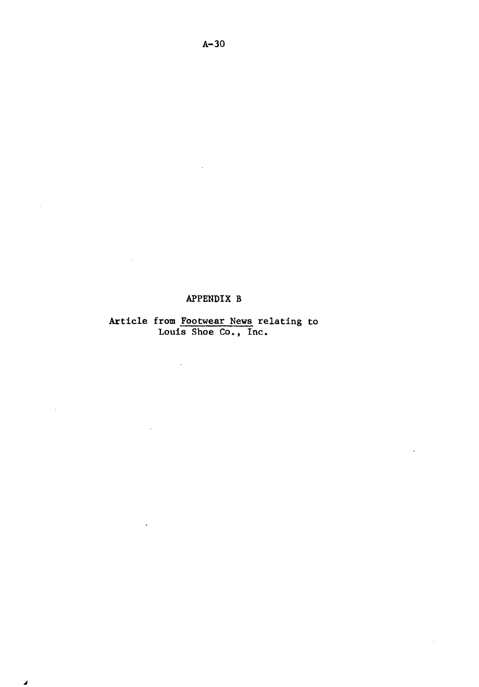# APPENDIX B

### Article from Footwear News relating to Louis Shoe Co., Inc.

 $\ddot{\phantom{1}}$ 

 $\bar{\mathcal{A}}$ 

 $\mathcal{L}^{\text{max}}_{\text{max}}$  , where  $\mathcal{L}^{\text{max}}_{\text{max}}$ 

 $\sim$   $\sim$ 

 $\mathcal{A}$ 

÷.

 $\sim 10^7$ 

 $\bar{z}$ 

◢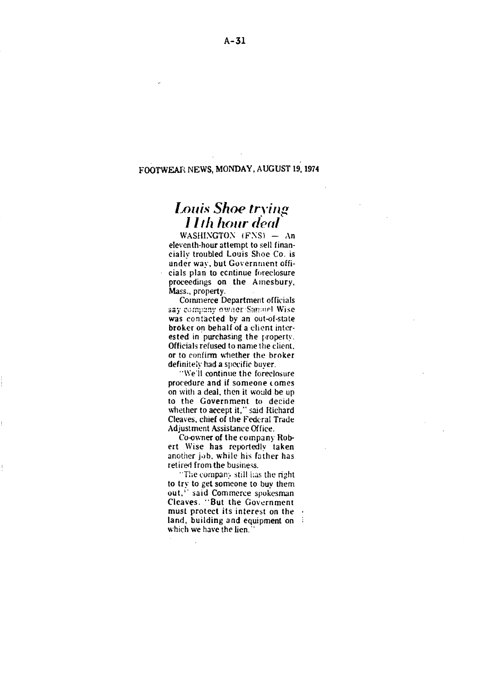### FOOTWEAH NEWS, MONDAY, AUGUST 19, 1974

# **Louis Shoe trying** *I l th hour dea(*

WASHINGTON  $(FNS)$  - An eleventh-hour attempt to sell financially troubled Louis Shoe Co. is under way, but Government officials plan to ccntinue foreclosure proceedings on the Amesbury, Mass., property.

Commerce Department officials say company owner Samuel Wise was contacted by an out-of-state broker on behalf of a client interested in purchasing the property. Officials refused to name the client. or to confirm whether the broker definitely had a specific buyer.

··we·11 continue the foreclosure procedure and if someone comes on with a deal. then it would be up to the Government to decide whether to accept it," said Richard Cleaves. chief of the Federal Trade Adjustment Assistance Office.

Co-owner of the company Robert Wise has reportedly taken another job, while his fother has retired from the business.

"The company still has the right to try to get someone to buy them out.'" said Commerce spokesman Cleaves. ··But the Government must protect its interest on the land, building and equipment on which we have the lien.